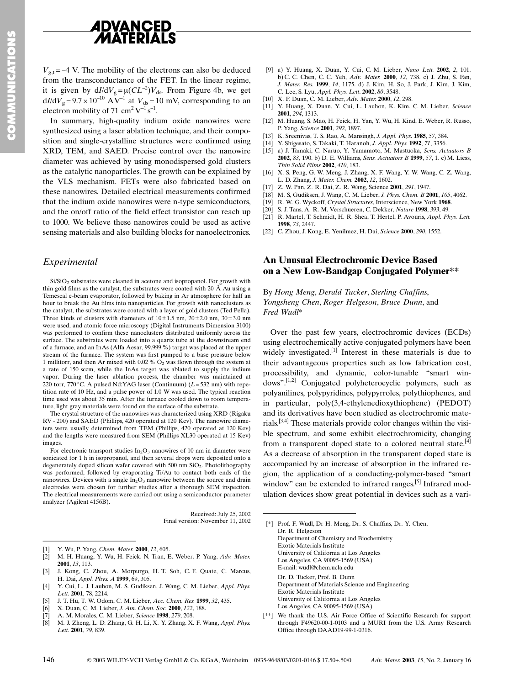

 $V_{\text{g,t}} = -4$  V. The mobility of the electrons can also be deduced from the transconductance of the FET. In the linear regime, it is given by  $dI/dV_g = \mu (CL^{-2})V_{ds}$ . From Figure 4b, we get  $dI/dV_g = 9.7 \times 10^{-10}$   $\text{A}^{\text{V}^{-1}}$  at  $V_{ds} = 10$  mV, corresponding to an electron mobility of 71 cm<sup>2</sup>  $V^{-1}$  s<sup>-1</sup>.

In summary, high-quality indium oxide nanowires were synthesized using a laser ablation technique, and their composition and single-crystalline structures were confirmed using XRD, TEM, and SAED. Precise control over the nanowire diameter was achieved by using monodispersed gold clusters as the catalytic nanoparticles. The growth can be explained by the VLS mechanism. FETs were also fabricated based on these nanowires. Detailed electrical measurements confirmed that the indium oxide nanowires were n-type semiconductors, and the on/off ratio of the field effect transistor can reach up to 1000. We believe these nanowires could be used as active sensing materials and also building blocks for nanoelectronics.

## Experimental

 $Si/SiO<sub>2</sub>$  substrates were cleaned in acetone and isopropanol. For growth with thin gold films as the catalyst, the substrates were coated with 20 Å Au using a Temescal e-beam evaporator, followed by baking in Ar atmosphere for half an hour to break the Au films into nanoparticles. For growth with nanoclusters as the catalyst, the substrates were coated with a layer of gold clusters (Ted Pella). Three kinds of clusters with diameters of  $10+1.5$  nm,  $20+2.0$  nm,  $30+3.0$  nm were used, and atomic force microscopy (Digital Instruments Dimension 3100) was performed to confirm these nanoclusters distributed uniformly across the surface. The substrates were loaded into a quartz tube at the downstream end of a furnace, and an InAs (Alfa Aesar, 99.999 %) target was placed at the upper stream of the furnace. The system was first pumped to a base pressure below 1 millitorr, and then Ar mixed with 0.02 %  $\dot{O_2}$  was flown through the system at a rate of 150 sccm, while the InAs target was ablated to supply the indium vapor. During the laser ablation process, the chamber was maintained at 220 torr, 770 °C. A pulsed Nd:YAG laser (Continuum) ( $L = 532$  nm) with repetition rate of 10 Hz, and a pulse power of 1.0 W was used. The typical reaction time used was about 35 min. After the furnace cooled down to room temperature, light gray materials were found on the surface of the substrate.

The crystal structure of the nanowires was characterized using XRD (Rigaku RV - 200) and SAED (Phillips, 420 operated at 120 Kev). The nanowire diameters were usually determined from TEM (Phillips, 420 operated at 120 Kev) and the lengths were measured from SEM (Phillips XL30 operated at 15 Kev) images.

For electronic transport studies  $In_2O_3$  nanowires of 10 nm in diameter were sonicated for 1 h in isopropanol, and then several drops were deposited onto a degenerately doped silicon wafer covered with 500 nm SiO<sub>2</sub>. Photolithography was performed, followed by evaporating Ti/Au to contact both ends of the nanowires. Devices with a single  $In_2O_3$  nanowire between the source and drain electrodes were chosen for further studies after a thorough SEM inspection. The electrical measurements were carried out using a semiconductor parameter analyzer (Agilent 4156B).

> Received: July 25, 2002 Final version: November 11, 2002

- Y. Wu, P. Yang, Chem. Mater. 2000, 12, 605.
- $\overline{121}$ M. H. Huang, Y. Wu, H. Feick. N. Tran, E. Weber. P. Yang, Adv. Mater. 2001, 13, 113.
- J. Kong, C. Zhou, A. Morpurgo, H. T. Soh, C. F. Quate, C. Marcus,  $\lceil 3 \rceil$ H. Dai, Appl. Phys. A 1999, 69, 305.
- Y. Cui, L. J. Lauhon, M. S. Gudiksen, J. Wang, C. M. Lieber, Appl. Phys.  $[4]$ Lett. 2001. 78. 2214.
- $[5]$ J. T. Hu, T. W. Odom, C. M. Lieber, Acc. Chem. Res. 1999, 32, 435.
- X. Duan, C. M. Lieber, J. Am. Chem. Soc. 2000, 122, 188.  $[6]$
- $\overline{17}$ A. M. Morales, C. M. Lieber, Science 1998, 279, 208.
- $[8]$ M. J. Zheng, L. D. Zhang, G. H. Li, X. Y. Zhang, X. F. Wang, Appl. Phys. Lett. 2001, 79, 839.
- [9] a) Y. Huang, X. Duan, Y. Cui, C. M. Lieber, Nano Lett. 2002, 2, 101. b) C. C. Chen, C. C. Yeh, Adv. Mater. 2000, 12, 738. c) J. Zhu, S. Fan, J. Mater. Res. 1999, 14, 1175. d) J. Kim, H. So, J. Park, J. Kim, J. Kim, C. Lee, S. Lyu, Appl. Phys. Lett. 2002, 80, 3548.
- [10] X F Duan C M Lieber Adv Mater 2000 12 298
- [11] Y. Huang, X. Duan, Y. Cui, L. Lauhon, K. Kim, C. M. Lieber, Science 2001, 294, 1313.
- [12] M. Huang, S. Mao, H. Feick, H. Yan, Y. Wu, H. Kind, E. Weber, R. Russo. P. Yang, Science 2001, 292, 1897.
- [13] K. Sreenivas, T. S. Rao, A. Mansingh, J. Appl. Phys. 1985, 57, 384.
- [14] Y. Shigesato, S. Takaki, T. Haranoh, J. Appl. Phys. 1992, 71, 3356.
- [15] a) J. Tamaki, C. Naruo, Y. Yamamoto, M. Mastuoka, Sens. Actuators B 2002, 83, 190, b) D. E. Williams, Sens. Actuators B 1999, 57, 1, c) M. Liess. Thin Solid Films 2002, 410, 183.
- $[16]$ X. S. Peng, G. W. Meng, J. Zhang, X. F. Wang, Y. W. Wang, C. Z. Wang, L. D. Zhang, J. Mater. Chem. 2002, 12, 1602.
- [17] Z. W. Pan, Z. R. Dai, Z. R. Wang, Science 2001, 291, 1947.
- [18] M. S. Gudiksen, J. Wang, C. M. Lieber, J. Phys. Chem. B 2001, 105, 4062.
- [19] R. W. G. Wyckoff, Crystal Structures, Interscience, New York 1968.
- S. J. Tans, A. R. M. Verschueren, C. Dekker, Nature 1998, 393, 49. [20]
- [21] R. Martel, T. Schmidt, H. R. Shea, T. Hertel, P. Avouris, Appl. Phys. Lett. 1998, 73, 2447.
- [22] C. Zhou, J. Kong, E. Yenilmez, H. Dai, Science 2000, 290, 1552.

## **An Unusual Electrochromic Device Based** on a New Low-Bandgap Conjugated Polymer\*\*

By Hong Meng, Derald Tucker, Sterling Chaffins, Yongsheng Chen, Roger Helgeson, Bruce Dunn, and Fred Wudl\*

Over the past few years, electrochromic devices (ECDs) using electrochemically active conjugated polymers have been widely investigated.<sup>[1]</sup> Interest in these materials is due to their advantageous properties such as low fabrication cost, processibility, and dynamic, color-tunable "smart windows".<sup>[1,2]</sup> Conjugated polyheterocyclic polymers, such as polyanilines, polypyridines, polypyrroles, polythiophenes, and in particular, poly(3,4-ethylenedioxythiophene) (PEDOT) and its derivatives have been studied as electrochromic materials.<sup>[3,4]</sup> These materials provide color changes within the visible spectrum, and some exhibit electrochromicity, changing from a transparent doped state to a colored neutral state.<sup>[4]</sup> As a decrease of absorption in the transparent doped state is accompanied by an increase of absorption in the infrared region, the application of a conducting-polymer-based "smart" window" can be extended to infrared ranges.<sup>[5]</sup> Infrared modulation devices show great potential in devices such as a vari-

- [\*] Prof. F. Wudl, Dr H. Meng, Dr. S. Chaffins, Dr. Y. Chen, Dr. R. Helgeson Department of Chemistry and Biochemistry **Exotic Materials Institute** University of California at Los Angeles Los Angeles, CA 90095-1569 (USA) E-mail: wudl@chem.ucla.edu Dr. D. Tucker, Prof. B. Dunn Department of Materials Science and Engineering **Exotic Materials Institute** University of California at Los Angeles Los Angeles, CA 90095-1569 (USA)
- [\*\*] We thank the U.S. Air Force Office of Scientific Research for support through F49620-00-1-0103 and a MURI from the U.S. Army Research Office through DAAD19-99-1-0316.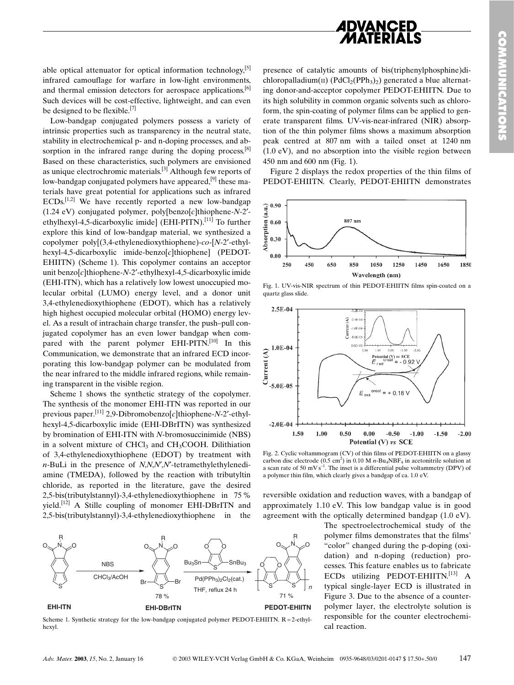

able optical attenuator for optical information technology,  $[5]$ infrared camouflage for warfare in low-light environments, and thermal emission detectors for aerospace applications.<sup>[6]</sup> Such devices will be cost-effective, lightweight, and can even be designed to be flexible.<sup>[7]</sup>

Low-bandgap conjugated polymers possess a variety of intrinsic properties such as transparency in the neutral state, stability in electrochemical p- and n-doping processes, and absorption in the infrared range during the doping process.  $[8]$ Based on these characteristics, such polymers are envisioned as unique electrochromic materials.<sup>[3]</sup> Although few reports of low-bandgap conjugated polymers have appeared,  $^{[9]}$  these materials have great potential for applications such as infrared  $ECDs$ <sup>[1,2]</sup> We have recently reported a new low-bandgap  $(1.24$  eV) conjugated polymer, poly[benzo[c]thiophene-N-2'ethylhexyl-4,5-dicarboxylic imide] (EHI-PITN).<sup>[11]</sup> To further explore this kind of low-bandgap material, we synthesized a copolymer poly[(3,4-ethylenedioxythiophene)-co-[N-2'-ethyl $hexyl-4,5$ -dicarboxylic imide-benzo $[c]$ thiophene $[$  (PEDOT-EHIITN) (Scheme 1). This copolymer contains an acceptor unit benzo $[c]$ thiophene-N-2'-ethylhexyl-4,5-dicarboxylic imide (EHI-ITN), which has a relatively low lowest unoccupied molecular orbital (LUMO) energy level, and a donor unit 3,4-ethylenedioxythiophene (EDOT), which has a relatively high highest occupied molecular orbital (HOMO) energy level. As a result of intrachain charge transfer, the push-pull conjugated copolymer has an even lower bandgap when compared with the parent polymer EHI-PITN.<sup>[10]</sup> In this Communication, we demonstrate that an infrared ECD incorporating this low-bandgap polymer can be modulated from the near infrared to the middle infrared regions, while remaining transparent in the visible region.

Scheme 1 shows the synthetic strategy of the copolymer. The synthesis of the monomer EHI-ITN was reported in our previous paper.<sup>[11]</sup> 2,9-Dibromobenzo[c]thiophene-N-2'-ethylhexyl-4.5-dicarboxylic imide (EHI-DBrITN) was synthesized by bromination of EHI-ITN with N-bromosuccinimide (NBS) in a solvent mixture of CHCl<sub>3</sub> and CH<sub>3</sub>COOH. Dilithiation of 3,4-ethylenedioxythiophene (EDOT) by treatment with  $n$ -BuLi in the presence of  $N, N, N', N'$ -tetramethylethylenediamine (TMEDA), followed by the reaction with tributyltin chloride, as reported in the literature, gave the desired 2,5-bis(tributylstannyl)-3,4-ethylenedioxythiophene in 75 % yield.<sup>[12]</sup> A Stille coupling of monomer EHI-DBrITN and 2,5-bis(tributylstannyl)-3,4-ethylenedioxythiophene in the



Scheme 1. Synthetic strategy for the low-bandgap conjugated polymer PEDOT-EHIITN,  $R = 2$ -ethylhexyl

presence of catalytic amounts of bis(triphenylphosphine)dichloropalladium( $\pi$ ) (PdCl<sub>2</sub>(PPh<sub>3</sub>)<sub>2</sub>) generated a blue alternating donor-and-acceptor copolymer PEDOT-EHIITN. Due to its high solubility in common organic solvents such as chloroform, the spin-coating of polymer films can be applied to generate transparent films. UV-vis-near-infrared (NIR) absorption of the thin polymer films shows a maximum absorption peak centred at 807 nm with a tailed onset at 1240 nm  $(1.0 \text{ eV})$ , and no absorption into the visible region between 450 nm and 600 nm (Fig. 1).

Figure 2 displays the redox properties of the thin films of PEDOT-EHIITN. Clearly, PEDOT-EHIITN demonstrates



Fig. 1. UV-vis-NIR spectrum of thin PEDOT-EHIITN films spin-coated on a quartz glass slide.



Fig. 2. Cyclic voltammogram (CV) of thin films of PEDOT-EHIITN on a glassy carbon disc electrode  $(0.5 \text{ cm}^2)$  in 0.10 M n-Bu<sub>4</sub>NBF<sub>4</sub> in acetonitrile solution at a scan rate of 50 mV  $s^{-1}$ . The inset is a differential pulse voltammetry (DPV) of a polymer thin film, which clearly gives a bandgap of ca. 1.0 eV.

reversible oxidation and reduction waves, with a bandgap of approximately 1.10 eV. This low bandgap value is in good agreement with the optically determined bandgap (1.0 eV).

> The spectroelectrochemical study of the polymer films demonstrates that the films' "color" changed during the p-doping (oxidation) and n-doping (reduction) processes. This feature enables us to fabricate ECDs utilizing PEDOT-EHIITN.<sup>[13]</sup> A typical single-layer ECD is illustrated in Figure 3. Due to the absence of a counterpolymer layer, the electrolyte solution is responsible for the counter electrochemical reaction.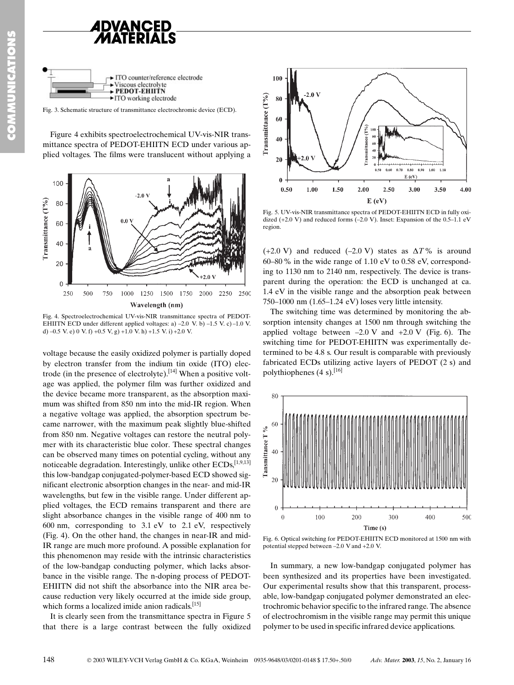



Fig. 3. Schematic structure of transmittance electrochromic device (ECD).

Figure 4 exhibits spectroelectrochemical UV-vis-NIR transmittance spectra of PEDOT-EHIITN ECD under various applied voltages. The films were translucent without applying a



Fig. 4. Spectroelectrochemical UV-vis-NIR transmittance spectra of PEDOT-EHIITN ECD under different applied voltages: a)  $-2.0$  V. b)  $-1.5$  V. c) $-1.0$  V. d) -0.5 V, e) 0 V, f) +0.5 V, g) +1.0 V, h) +1.5 V, i) +2.0 V.

voltage because the easily oxidized polymer is partially doped by electron transfer from the indium tin oxide (ITO) electrode (in the presence of electrolyte).<sup>[14]</sup> When a positive voltage was applied, the polymer film was further oxidized and the device became more transparent, as the absorption maximum was shifted from 850 nm into the mid-IR region. When a negative voltage was applied, the absorption spectrum became narrower, with the maximum peak slightly blue-shifted from 850 nm. Negative voltages can restore the neutral polymer with its characteristic blue color. These spectral changes can be observed many times on potential cycling, without any noticeable degradation. Interestingly, unlike other ECDs, [1,9,13] this low-bandgap conjugated-polymer-based ECD showed significant electronic absorption changes in the near- and mid-IR wavelengths, but few in the visible range. Under different applied voltages, the ECD remains transparent and there are slight absorbance changes in the visible range of 400 nm to 600 nm, corresponding to  $3.1$  eV to  $2.1$  eV, respectively (Fig. 4). On the other hand, the changes in near-IR and mid-IR range are much more profound. A possible explanation for this phenomenon may reside with the intrinsic characteristics of the low-bandgap conducting polymer, which lacks absorbance in the visible range. The n-doping process of PEDOT-EHIITN did not shift the absorbance into the NIR area because reduction very likely occurred at the imide side group, which forms a localized imide anion radicals.[15]

It is clearly seen from the transmittance spectra in Figure 5 that there is a large contrast between the fully oxidized



Fig. 5. UV-vis-NIR transmittance spectra of PEDOT-EHIITN ECD in fully oxidized (+2.0 V) and reduced forms  $(-2.0 V)$ . Inset: Expansion of the 0.5–1.1 eV region.

(+2.0 V) and reduced (-2.0 V) states as  $\Delta T$ % is around 60–80 % in the wide range of 1.10 eV to 0.58 eV, corresponding to 1130 nm to 2140 nm, respectively. The device is transparent during the operation: the ECD is unchanged at ca. 1.4 eV in the visible range and the absorption peak between 750-1000 nm (1.65-1.24 eV) loses very little intensity.

The switching time was determined by monitoring the absorption intensity changes at 1500 nm through switching the applied voltage between  $-2.0 \text{ V}$  and  $+2.0 \text{ V}$  (Fig. 6). The switching time for PEDOT-EHIITN was experimentally determined to be 4.8 s. Our result is comparable with previously fabricated ECDs utilizing active layers of PEDOT (2 s) and polythiophenes  $(4 s)$ . [16]



Fig. 6. Optical switching for PEDOT-EHIITN ECD monitored at 1500 nm with potential stepped between -2.0 V and +2.0 V.

In summary, a new low-bandgap conjugated polymer has been synthesized and its properties have been investigated. Our experimental results show that this transparent, processable, low-bandgap conjugated polymer demonstrated an electrochromic behavior specific to the infrared range. The absence of electrochromism in the visible range may permit this unique polymer to be used in specific infrared device applications.